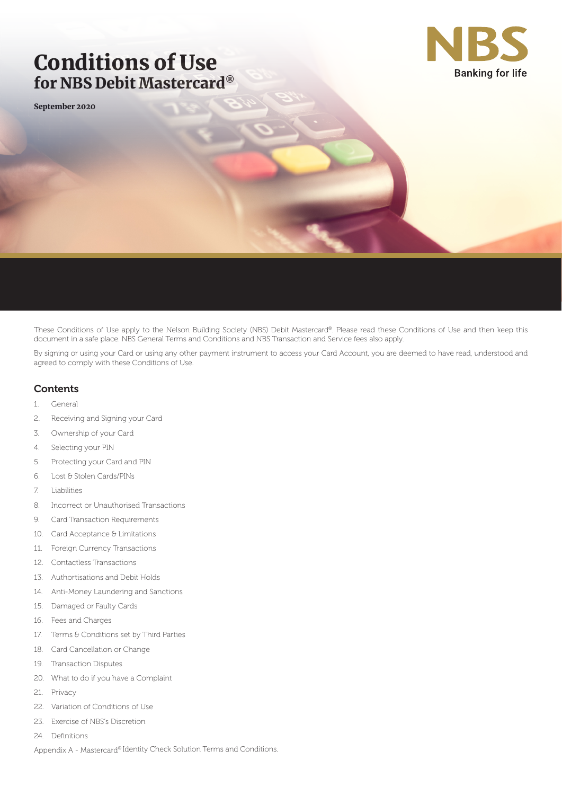# Conditions of Use for NBS Debit Mastercard®

September 2020



These Conditions of Use apply to the Nelson Building Society (NBS) Debit Mastercard®. Please read these Conditions of Use and then keep this document in a safe place. NBS General Terms and Conditions and NBS Transaction and Service fees also apply.

By signing or using your Card or using any other payment instrument to access your Card Account, you are deemed to have read, understood and agreed to comply with these Conditions of Use.

## **Contents**

- 1. General
- 2. Receiving and Signing your Card
- 3. Ownership of your Card
- 4. Selecting your PIN
- 5. Protecting your Card and PIN
- 6. Lost & Stolen Cards/PINs
- 7. Liabilities
- 8. Incorrect or Unauthorised Transactions
- 9. Card Transaction Requirements
- 10. Card Acceptance & Limitations
- 11. Foreign Currency Transactions
- 12. Contactless Transactions
- 13. Authortisations and Debit Holds
- 14. Anti-Money Laundering and Sanctions
- 15. Damaged or Faulty Cards
- 16. Fees and Charges
- 17. Terms & Conditions set by Third Parties
- 18. Card Cancellation or Change
- 19. Transaction Disputes
- 20. What to do if you have a Complaint
- 21. Privacy
- 22. Variation of Conditions of Use
- 23. Exercise of NBS's Discretion
- 24. Definitions

Appendix A - Mastercard® Identity Check Solution Terms and Conditions.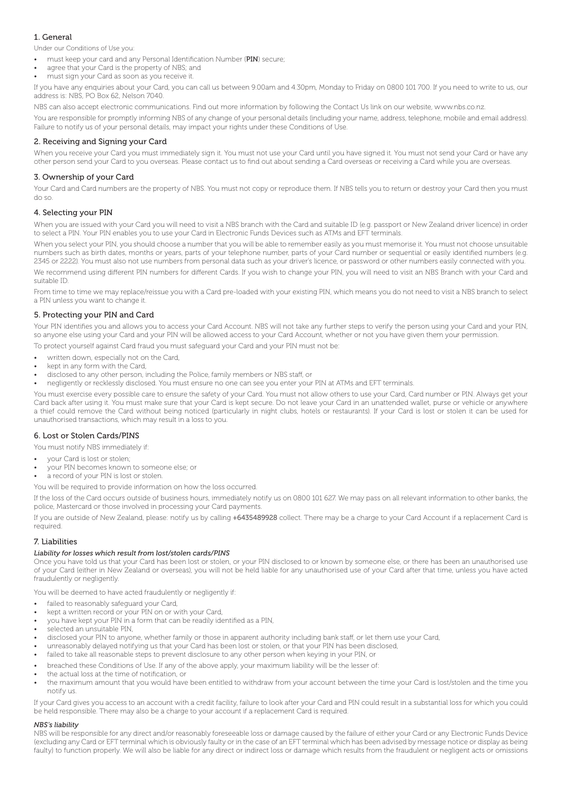### 1. General

Under our Conditions of Use you:

- must keep your card and any Personal Identification Number (PIN) secure;
- agree that your Card is the property of NBS; and
- must sign your Card as soon as you receive it.

If you have any enquiries about your Card, you can call us between 9.00am and 4.30pm, Monday to Friday on 0800 101 700. If you need to write to us, our address is: NBS, PO Box 62, Nelson 7040.

NBS can also accept electronic communications. Find out more information by following the Contact Us link on our website, www.nbs.co.nz.

You are responsible for promptly informing NBS of any change of your personal details (including your name, address, telephone, mobile and email address). Failure to notify us of your personal details, may impact your rights under these Conditions of Use.

### 2. Receiving and Signing your Card

When you receive your Card you must immediately sign it. You must not use your Card until you have signed it. You must not send your Card or have any other person send your Card to you overseas. Please contact us to find out about sending a Card overseas or receiving a Card while you are overseas.

### 3. Ownership of your Card

Your Card and Card numbers are the property of NBS. You must not copy or reproduce them. If NBS tells you to return or destroy your Card then you must do so.

### 4. Selecting your PIN

When you are issued with your Card you will need to visit a NBS branch with the Card and suitable ID (e.g. passport or New Zealand driver licence) in order to select a PIN. Your PIN enables you to use your Card in Electronic Funds Devices such as ATMs and EFT terminals.

When you select your PIN, you should choose a number that you will be able to remember easily as you must memorise it. You must not choose unsuitable numbers such as birth dates, months or years, parts of your telephone number, parts of your Card number or sequential or easily identified numbers (e.g. 2345 or 2222). You must also not use numbers from personal data such as your driver's licence, or password or other numbers easily connected with you.

We recommend using different PIN numbers for different Cards. If you wish to change your PIN, you will need to visit an NBS Branch with your Card and suitable ID.

From time to time we may replace/reissue you with a Card pre-loaded with your existing PIN, which means you do not need to visit a NBS branch to select a PIN unless you want to change it.

### 5. Protecting your PIN and Card

Your PIN identifies you and allows you to access your Card Account. NBS will not take any further steps to verify the person using your Card and your PIN, so anyone else using your Card and your PIN will be allowed access to your Card Account, whether or not you have given them your permission.

To protect yourself against Card fraud you must safeguard your Card and your PIN must not be:

- written down, especially not on the Card,
- kept in any form with the Card,
- disclosed to any other person, including the Police, family members or NBS staff, or
- negligently or recklessly disclosed. You must ensure no one can see you enter your PIN at ATMs and EFT terminals.

You must exercise every possible care to ensure the safety of your Card. You must not allow others to use your Card, Card number or PIN. Always get your Card back after using it. You must make sure that your Card is kept secure. Do not leave your Card in an unattended wallet, purse or vehicle or anywhere a thief could remove the Card without being noticed (particularly in night clubs, hotels or restaurants). If your Card is lost or stolen it can be used for unauthorised transactions, which may result in a loss to you.

### 6. Lost or Stolen Cards/PINS

You must notify NBS immediately if:

- your Card is lost or stolen;
- your PIN becomes known to someone else; or
- a record of your PIN is lost or stolen.

You will be required to provide information on how the loss occurred.

If the loss of the Card occurs outside of business hours, immediately notify us on 0800 101 627. We may pass on all relevant information to other banks, the police, Mastercard or those involved in processing your Card payments.

If you are outside of New Zealand, please: notify us by calling +6435489928 collect. There may be a charge to your Card Account if a replacement Card is required.

### 7. Liabilities

### *Liability for losses which result from lost/stolen cards/PINS*

Once you have told us that your Card has been lost or stolen, or your PIN disclosed to or known by someone else, or there has been an unauthorised use of your Card (either in New Zealand or overseas), you will not be held liable for any unauthorised use of your Card after that time, unless you have acted fraudulently or negligently.

You will be deemed to have acted fraudulently or negligently if:

- failed to reasonably safeguard your Card,
- kept a written record or your PIN on or with your Card,
- you have kept your PIN in a form that can be readily identified as a PIN,
- selected an unsuitable PIN,
- disclosed your PIN to anyone, whether family or those in apparent authority including bank staff, or let them use your Card,
- unreasonably delayed notifying us that your Card has been lost or stolen, or that your PIN has been disclosed,
- failed to take all reasonable steps to prevent disclosure to any other person when keying in your PIN, or
- breached these Conditions of Use. If any of the above apply, your maximum liability will be the lesser of:
- the actual loss at the time of notification, or
- the maximum amount that you would have been entitled to withdraw from your account between the time your Card is lost/stolen and the time you notify us.

If your Card gives you access to an account with a credit facility, failure to look after your Card and PIN could result in a substantial loss for which you could be held responsible. There may also be a charge to your account if a replacement Card is required.

### *NBS's liability*

NBS will be responsible for any direct and/or reasonably foreseeable loss or damage caused by the failure of either your Card or any Electronic Funds Device (excluding any Card or EFT terminal which is obviously faulty or in the case of an EFT terminal which has been advised by message notice or display as being faulty) to function properly. We will also be liable for any direct or indirect loss or damage which results from the fraudulent or negligent acts or omissions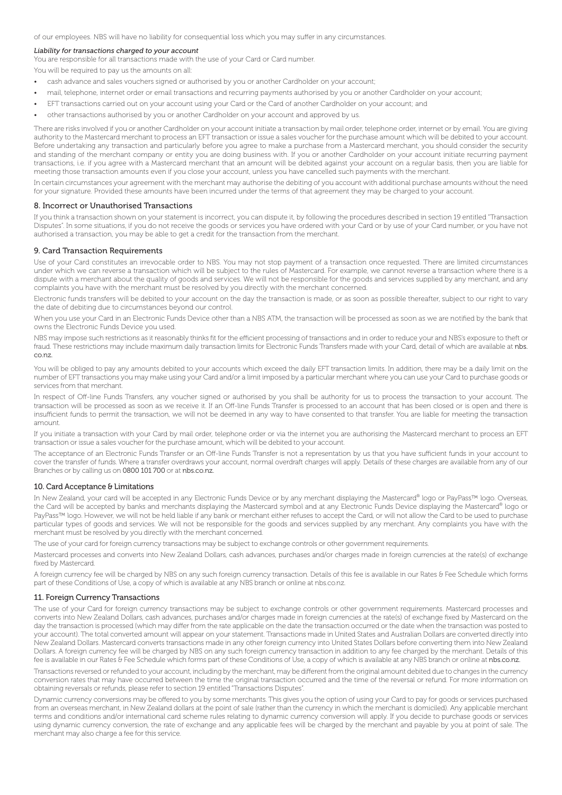of our employees. NBS will have no liability for consequential loss which you may suffer in any circumstances.

### *Liability for transactions charged to your account*

You are responsible for all transactions made with the use of your Card or Card number.

You will be required to pay us the amounts on all:

- cash advance and sales vouchers signed or authorised by you or another Cardholder on your account;
- mail, telephone, internet order or email transactions and recurring payments authorised by you or another Cardholder on your account;
- EFT transactions carried out on your account using your Card or the Card of another Cardholder on your account; and
- other transactions authorised by you or another Cardholder on your account and approved by us.

There are risks involved if you or another Cardholder on your account initiate a transaction by mail order, telephone order, internet or by email. You are giving authority to the Mastercard merchant to process an EFT transaction or issue a sales voucher for the purchase amount which will be debited to your account. Before undertaking any transaction and particularly before you agree to make a purchase from a Mastercard merchant, you should consider the security and standing of the merchant company or entity you are doing business with. If you or another Cardholder on your account initiate recurring payment transactions, i.e. if you agree with a Mastercard merchant that an amount will be debited against your account on a regular basis, then you are liable for meeting those transaction amounts even if you close your account, unless you have cancelled such payments with the merchant.

In certain circumstances your agreement with the merchant may authorise the debiting of you account with additional purchase amounts without the need for your signature. Provided these amounts have been incurred under the terms of that agreement they may be charged to your account.

### 8. Incorrect or Unauthorised Transactions

If you think a transaction shown on your statement is incorrect, you can dispute it, by following the procedures described in section 19 entitled "Transaction Disputes". In some situations, if you do not receive the goods or services you have ordered with your Card or by use of your Card number, or you have not authorised a transaction, you may be able to get a credit for the transaction from the merchant.

### 9. Card Transaction Requirements

Use of your Card constitutes an irrevocable order to NBS. You may not stop payment of a transaction once requested. There are limited circumstances under which we can reverse a transaction which will be subject to the rules of Mastercard. For example, we cannot reverse a transaction where there is a dispute with a merchant about the quality of goods and services. We will not be responsible for the goods and services supplied by any merchant, and any complaints you have with the merchant must be resolved by you directly with the merchant concerned.

Electronic funds transfers will be debited to your account on the day the transaction is made, or as soon as possible thereafter, subject to our right to vary the date of debiting due to circumstances beyond our control.

When you use your Card in an Electronic Funds Device other than a NBS ATM, the transaction will be processed as soon as we are notified by the bank that owns the Electronic Funds Device you used.

NBS may impose such restrictions as it reasonably thinks fit for the efficient processing of transactions and in order to reduce your and NBS's exposure to theft or fraud. These restrictions may include maximum daily transaction limits for Electronic Funds Transfers made with your Card, detail of which are available at nbs. co.nz.

You will be obliged to pay any amounts debited to your accounts which exceed the daily EFT transaction limits. In addition, there may be a daily limit on the number of EFT transactions you may make using your Card and/or a limit imposed by a particular merchant where you can use your Card to purchase goods or services from that merchant.

In respect of Off-line Funds Transfers, any voucher signed or authorised by you shall be authority for us to process the transaction to your account. The transaction will be processed as soon as we receive it. If an Off-line Funds Transfer is processed to an account that has been closed or is open and there is insufficient funds to permit the transaction, we will not be deemed in any way to have consented to that transfer. You are liable for meeting the transaction amount.

If you initiate a transaction with your Card by mail order, telephone order or via the internet you are authorising the Mastercard merchant to process an EFT transaction or issue a sales voucher for the purchase amount, which will be debited to your account.

The acceptance of an Electronic Funds Transfer or an Off-line Funds Transfer is not a representation by us that you have sufficient funds in your account to cover the transfer of funds. Where a transfer overdraws your account, normal overdraft charges will apply. Details of these charges are available from any of our Branches or by calling us on 0800 101 700 or at nbs.co.nz.

### 10. Card Acceptance & Limitations

In New Zealand, your card will be accepted in any Electronic Funds Device or by any merchant displaying the Mastercard® logo or PayPass™ logo. Overseas, the Card will be accepted by banks and merchants displaying the Mastercard symbol and at any Electronic Funds Device displaying the Mastercard® logo or PayPass™ logo. However, we will not be held liable if any bank or merchant either refuses to accept the Card, or will not allow the Card to be used to purchase particular types of goods and services. We will not be responsible for the goods and services supplied by any merchant. Any complaints you have with the merchant must be resolved by you directly with the merchant concerned.

The use of your card for foreign currency transactions may be subject to exchange controls or other government requirements.

Mastercard processes and converts into New Zealand Dollars, cash advances, purchases and/or charges made in foreign currencies at the rate(s) of exchange fixed by Mastercard.

A foreign currency fee will be charged by NBS on any such foreign currency transaction. Details of this fee is available in our Rates & Fee Schedule which forms part of these Conditions of Use, a copy of which is available at any NBS branch or online at nbs.co.nz.

### 11. Foreign Currency Transactions

The use of your Card for foreign currency transactions may be subject to exchange controls or other government requirements. Mastercard processes and converts into New Zealand Dollars, cash advances, purchases and/or charges made in foreign currencies at the rate(s) of exchange fixed by Mastercard on the day the transaction is processed (which may differ from the rate applicable on the date the transaction occurred or the date when the transaction was posted to your account). The total converted amount will appear on your statement. Transactions made in United States and Australian Dollars are converted directly into New Zealand Dollars. Mastercard converts transactions made in any other foreign currency into United States Dollars before converting them into New Zealand Dollars. A foreign currency fee will be charged by NBS on any such foreign currency transaction in addition to any fee charged by the merchant. Details of this fee is available in our Rates & Fee Schedule which forms part of these Conditions of Use, a copy of which is available at any NBS branch or online at nbs.co.nz.

Transactions reversed or refunded to your account, including by the merchant, may be different from the original amount debited due to changes in the currency conversion rates that may have occurred between the time the original transaction occurred and the time of the reversal or refund. For more information on obtaining reversals or refunds, please refer to section 19 entitled "Transactions Disputes".

Dynamic currency conversions may be offered to you by some merchants. This gives you the option of using your Card to pay for goods or services purchased from an overseas merchant, in New Zealand dollars at the point of sale (rather than the currency in which the merchant is domiciled). Any applicable merchant terms and conditions and/or international card scheme rules relating to dynamic currency conversion will apply. If you decide to purchase goods or services using dynamic currency conversion, the rate of exchange and any applicable fees will be charged by the merchant and payable by you at point of sale. The merchant may also charge a fee for this service.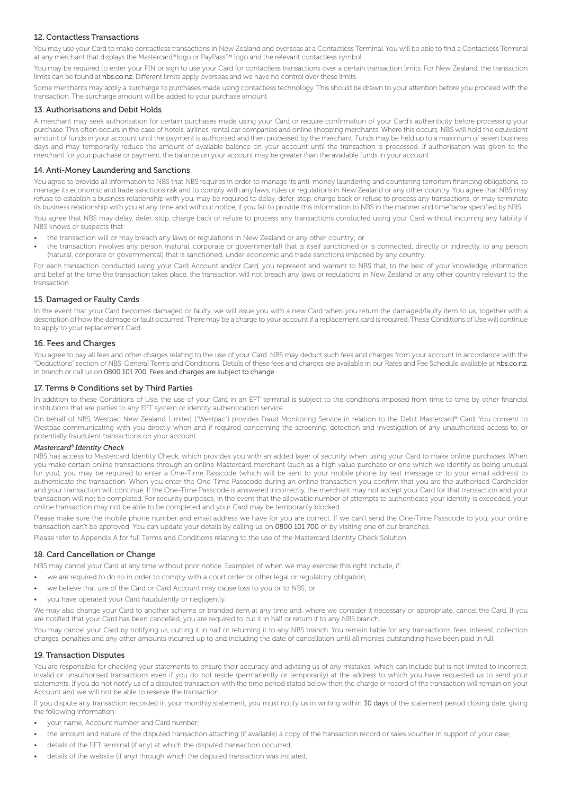### 12. Contactless Transactions

You may use your Card to make contactless transactions in New Zealand and overseas at a Contactless Terminal. You will be able to find a Contactless Terminal at any merchant that displays the Mastercard® logo or PayPass™ logo and the relevant contactless symbol.

You may be required to enter your PIN or sign to use your Card for contactless transactions over a certain transaction limits. For New Zealand, the transaction limits can be found at nbs.co.nz. Different limits apply overseas and we have no control over these limits.

Some merchants may apply a surcharge to purchases made using contactless technology. This should be drawn to your attention before you proceed with the transaction. The surcharge amount will be added to your purchase amount.

### 13. Authorisations and Debit Holds

A merchant may seek authorisation for certain purchases made using your Card or require confirmation of your Card's authenticity before processing your purchase. This often occurs in the case of hotels, airlines, rental car companies and online shopping merchants. Where this occurs, NBS will hold the equivalent amount of funds in your account until the payment is authorised and then processed by the merchant. Funds may be held up to a maximum of seven business days and may temporarily reduce the amount of available balance on your account until the transaction is processed. If authorisation was given to the merchant for your purchase or payment, the balance on your account may be greater than the available funds in your account

### 14. Anti-Money Laundering and Sanctions

You agree to provide all information to NBS that NBS requires in order to manage its anti-money laundering and countering terrorism financing obligations, to manage its economic and trade sanctions risk and to comply with any laws, rules or regulations in New Zealand or any other country. You agree that NBS may refuse to establish a business relationship with you, may be required to delay, defer, stop, charge back or refuse to process any transactions, or may terminate its business relationship with you at any time and without notice, if you fail to provide this information to NBS in the manner and timeframe specified by NBS.

You agree that NBS may delay, defer, stop, charge back or refuse to process any transactions conducted using your Card without incurring any liability if NBS knows or suspects that:

- the transaction will or may breach any laws or regulations in New Zealand or any other country; or
- the transaction involves any person (natural, corporate or governmental) that is itself sanctioned or is connected, directly or indirectly, to any person (natural, corporate or governmental) that is sanctioned, under economic and trade sanctions imposed by any country.

For each transaction conducted using your Card Account and/or Card, you represent and warrant to NBS that, to the best of your knowledge, information and belief at the time the transaction takes place, the transaction will not breach any laws or regulations in New Zealand or any other country relevant to the transaction.

### 15. Damaged or Faulty Cards

In the event that your Card becomes damaged or faulty, we will issue you with a new Card when you return the damaged/faulty item to us, together with a description of how the damage or fault occurred. There may be a charge to your account if a replacement card is required. These Conditions of Use will continue to apply to your replacement Card.

### 16. Fees and Charges

You agree to pay all fees and other charges relating to the use of your Card. NBS may deduct such fees and charges from your account in accordance with the "Deductions" section of NBS' General Terms and Conditions. Details of these fees and charges are available in our Rates and Fee Schedule available at nbs.co.nz, in branch or call us on 0800 101 700. Fees and charges are subject to change.

### 17. Terms & Conditions set by Third Parties

In addition to these Conditions of Use, the use of your Card in an EFT terminal is subject to the conditions imposed from time to time by other financial institutions that are parties to any EFT system or identity authentication service.

On behalf of NBS, Westpac New Zealand Limited ("Westpac") provides Fraud Monitoring Service in relation to the Debit Mastercard® Card. You consent to Westpac communicating with you directly when and if required concerning the screening, detection and investigation of any unauthorised access to, or potentially fraudulent transactions on your account.

### *Mastercard® Identity Check*

NBS has access to Mastercard Identity Check, which provides you with an added layer of security when using your Card to make online purchases. When you make certain online transactions through an online Mastercard merchant (such as a high value purchase or one which we identify as being unusual for you), you may be required to enter a One-Time Passcode (which will be sent to your mobile phone by text message or to your email address) to authenticate the transaction. When you enter the One-Time Passcode during an online transaction you confirm that you are the authorised Cardholder and your transaction will continue. If the One-Time Passcode is answered incorrectly, the merchant may not accept your Card for that transaction and your transaction will not be completed. For security purposes, in the event that the allowable number of attempts to authenticate your identity is exceeded, your online transaction may not be able to be completed and your Card may be temporarily blocked.

Please make sure the mobile phone number and email address we have for you are correct. If we can't send the One-Time Passcode to you, your online transaction can't be approved. You can update your details by calling us on 0800 101 700 or by visiting one of our branches.

Please refer to Appendix A for full Terms and Conditions relating to the use of the Mastercard Identity Check Solution.

### 18. Card Cancellation or Change

NBS may cancel your Card at any time without prior notice. Examples of when we may exercise this right include, if:

- we are required to do so in order to comply with a court order or other legal or regulatory obligation;
- we believe that use of the Card or Card Account may cause loss to you or to NBS; or
- you have operated your Card fraudulently or negligently.

We may also change your Card to another scheme or branded item at any time and, where we consider it necessary or appropriate, cancel the Card. If you are notified that your Card has been cancelled, you are required to cut it in half or return if to any NBS branch.

You may cancel your Card by notifying us, cutting it in half or returning it to any NBS branch. You remain liable for any transactions, fees, interest, collection charges, penalties and any other amounts incurred up to and including the date of cancellation until all monies outstanding have been paid in full.

### 19. Transaction Disputes

You are responsible for checking your statements to ensure their accuracy and advising us of any mistakes, which can include but is not limited to incorrect, invalid or unauthorised transactions even if you do not reside (permanently or temporarily) at the address to which you have requested us to send your statements. If you do not notify us of a disputed transaction with the time period stated below then the charge or record of the transaction will remain on your Account and we will not be able to reserve the transaction.

If you dispute any transaction recorded in your monthly statement, you must notify us in writing within 30 days of the statement period closing date, giving the following information:

- your name, Account number and Card number;
- the amount and nature of the disputed transaction attaching (if available) a copy of the transaction record or sales voucher in support of your case;
- details of the EFT terminal (if any) at which the disputed transaction occurred;
- details of the website (if any) through which the disputed transaction was initiated;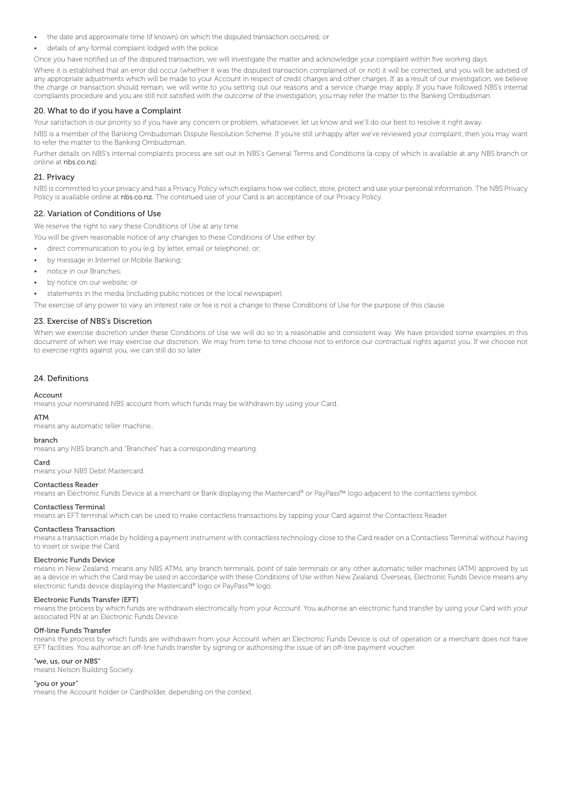- the date and approximate time (if known) on which the disputed transaction occurred; or
- details of any formal complaint lodged with the police.

Once you have notified us of the disputed transaction, we will investigate the matter and acknowledge your complaint within five working days.

Where it is established that an error did occur (whether it was the disputed transaction complained of, or not) it will be corrected, and you will be advised of any appropriate adjustments which will be made to your Account in respect of credit charges and other charges. If, as a result of our investigation, we believe the charge or transaction should remain, we will write to you setting out our reasons and a service charge may apply. If you have followed NBS's internal complaints procedure and you are still not satisfied with the outcome of the investigation, you may refer the matter to the Banking Ombudsman.

### 20. What to do if you have a Complaint

Your satisfaction is our priority so if you have any concern or problem, whatsoever, let us know and we'll do our best to resolve it right away.

NBS is a member of the Banking Ombudsman Dispute Resolution Scheme. If you're still unhappy after we've reviewed your complaint, then you may want to refer the matter to the Banking Ombudsman.

Further details on NBS's internal complaints process are set out in NBS's General Terms and Conditions (a copy of which is available at any NBS branch or online at nbs.co.nz).

### 21. Privacy

NBS is committed to your privacy and has a Privacy Policy which explains how we collect, store, protect and use your personal information. The NBS Privacy Policy is available online at nbs.co.nz. The continued use of your Card is an acceptance of our Privacy Policy.

#### 22. Variation of Conditions of Use

We reserve the right to vary these Conditions of Use at any time.

You will be given reasonable notice of any changes to these Conditions of Use either by:

- direct communication to you (e.g. by letter, email or telephone); or;
- by message in Internet or Mobile Banking;
- notice in our Branches;
- by notice on our website; or
- statements in the media (including public notices or the local newspaper).

The exercise of any power to vary an interest rate or fee is not a change to these Conditions of Use for the purpose of this clause.

#### 23. Exercise of NBS's Discretion

When we exercise discretion under these Conditions of Use we will do so in a reasonable and consistent way. We have provided some examples in this document of when we may exercise our discretion. We may from time to time choose not to enforce our contractual rights against you. If we choose not to exercise rights against you, we can still do so later.

### 24. Definitions

#### Account

means your nominated NBS account from which funds may be withdrawn by using your Card.

#### ATM

means any automatic teller machine..

#### branch

means any NBS branch and "Branches" has a corresponding meaning.

#### Card

means your NBS Debit Mastercard.

### Contactless Reader

means an Electronic Funds Device at a merchant or Bank displaying the Mastercard® or PayPass™ logo adjacent to the contactless symbol.

#### Contactless Terminal

means an EFT terminal which can be used to make contactless transactions by tapping your Card against the Contactless Reader.

#### Contactless Transaction

means a transaction made by holding a payment instrument with contactless technology close to the Card reader on a Contactless Terminal without having to insert or swipe the Card.

#### Electronic Funds Device

means in New Zealand, means any NBS ATMs, any branch terminals, point of sale terminals or any other automatic teller machines (ATM) approved by us as a device in which the Card may be used in accordance with these Conditions of Use within New Zealand. Overseas, Electronic Funds Device means any electronic funds device displaying the Mastercard® logo or PayPass™ logo.

#### Electronic Funds Transfer (EFT)

means the process by which funds are withdrawn electronically from your Account. You authorise an electronic fund transfer by using your Card with your associated PIN at an Electronic Funds Device.

#### Off-line Funds Transfer

means the process by which funds are withdrawn from your Account when an Electronic Funds Device is out of operation or a merchant does not have EFT facilities. You authorise an off-line funds transfer by signing or authorising the issue of an off-line payment voucher.

#### "we, us, our or NBS"

means Nelson Building Society.

### "you or your"

means the Account holder or Cardholder, depending on the context.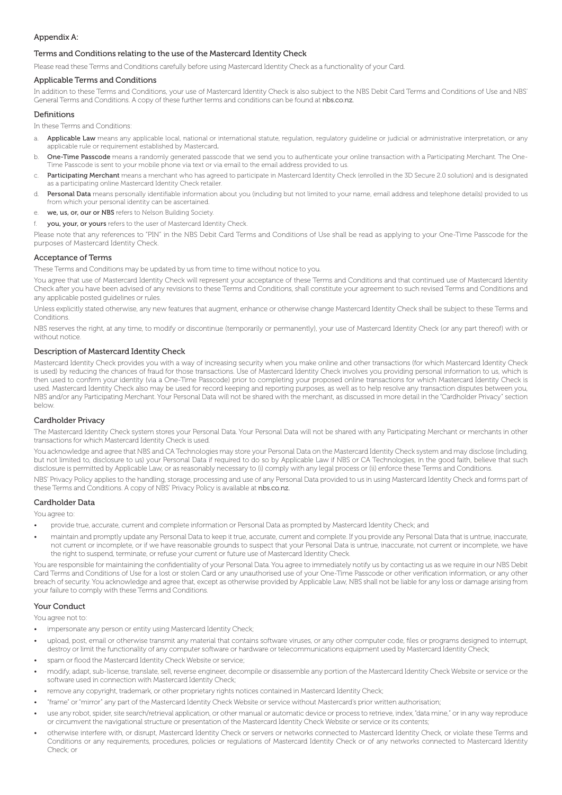### Appendix A:

### Terms and Conditions relating to the use of the Mastercard Identity Check

Please read these Terms and Conditions carefully before using Mastercard Identity Check as a functionality of your Card.

### Applicable Terms and Conditions

In addition to these Terms and Conditions, your use of Mastercard Identity Check is also subject to the NBS Debit Card Terms and Conditions of Use and NBS' General Terms and Conditions. A copy of these further terms and conditions can be found at nbs.co.nz.

### Definitions

In these Terms and Conditions:

- a. Applicable Law means any applicable local, national or international statute, regulation, regulatory guideline or judicial or administrative interpretation, or any applicable rule or requirement established by Mastercard.
- b. One-Time Passcode means a randomly generated passcode that we send you to authenticate your online transaction with a Participating Merchant. The One-Time Passcode is sent to your mobile phone via text or via email to the email address provided to us.
- c. Participating Merchant means a merchant who has agreed to participate in Mastercard Identity Check (enrolled in the 3D Secure 2.0 solution) and is designated as a participating online Mastercard Identity Check retailer.
- d. Personal Data means personally identifiable information about you (including but not limited to your name, email address and telephone details) provided to us from which your personal identity can be ascertained.
- e. we, us, or, our or NBS refers to Nelson Building Society.
- **vou, your, or yours** refers to the user of Mastercard Identity Check.

Please note that any references to "PIN" in the NBS Debit Card Terms and Conditions of Use shall be read as applying to your One-Time Passcode for the purposes of Mastercard Identity Check.

### Acceptance of Terms

These Terms and Conditions may be updated by us from time to time without notice to you.

You agree that use of Mastercard Identity Check will represent your acceptance of these Terms and Conditions and that continued use of Mastercard Identity Check after you have been advised of any revisions to these Terms and Conditions, shall constitute your agreement to such revised Terms and Conditions and any applicable posted guidelines or rules.

Unless explicitly stated otherwise, any new features that augment, enhance or otherwise change Mastercard Identity Check shall be subject to these Terms and Conditions.

NBS reserves the right, at any time, to modify or discontinue (temporarily or permanently), your use of Mastercard Identity Check (or any part thereof) with or without notice.

### Description of Mastercard Identity Check

Mastercard Identity Check provides you with a way of increasing security when you make online and other transactions (for which Mastercard Identity Check is used) by reducing the chances of fraud for those transactions. Use of Mastercard Identity Check involves you providing personal information to us, which is then used to confirm your identity (via a One-Time Passcode) prior to completing your proposed online transactions for which Mastercard Identity Check is used. Mastercard Identity Check also may be used for record keeping and reporting purposes, as well as to help resolve any transaction disputes between you, NBS and/or any Participating Merchant. Your Personal Data will not be shared with the merchant, as discussed in more detail in the "Cardholder Privacy" section below.

### Cardholder Privacy

The Mastercard Identity Check system stores your Personal Data. Your Personal Data will not be shared with any Participating Merchant or merchants in other transactions for which Mastercard Identity Check is used.

You acknowledge and agree that NBS and CA Technologies may store your Personal Data on the Mastercard Identity Check system and may disclose (including, but not limited to, disclosure to us) your Personal Data if required to do so by Applicable Law if NBS or CA Technologies, in the good faith, believe that such disclosure is permitted by Applicable Law, or as reasonably necessary to (i) comply with any legal process or (ii) enforce these Terms and Conditions.

NBS' Privacy Policy applies to the handling, storage, processing and use of any Personal Data provided to us in using Mastercard Identity Check and forms part of these Terms and Conditions. A copy of NBS' Privacy Policy is available at nbs.co.nz.

#### Cardholder Data

You agree to:

- provide true, accurate, current and complete information or Personal Data as prompted by Mastercard Identity Check; and
- maintain and promptly update any Personal Data to keep it true, accurate, current and complete. If you provide any Personal Data that is untrue, inaccurate, not current or incomplete, or if we have reasonable grounds to suspect that your Personal Data is untrue, inaccurate, not current or incomplete, we have the right to suspend, terminate, or refuse your current or future use of Mastercard Identity Check.

You are responsible for maintaining the confidentiality of your Personal Data. You agree to immediately notify us by contacting us as we require in our NBS Debit Card Terms and Conditions of Use for a lost or stolen Card or any unauthorised use of your One-Time Passcode or other verification information, or any other breach of security. You acknowledge and agree that, except as otherwise provided by Applicable Law, NBS shall not be liable for any loss or damage arising from your failure to comply with these Terms and Conditions.

### Your Conduct

You agree not to:

- impersonate any person or entity using Mastercard Identity Check;
- upload, post, email or otherwise transmit any material that contains software viruses, or any other computer code, files or programs designed to interrupt, destroy or limit the functionality of any computer software or hardware or telecommunications equipment used by Mastercard Identity Check;
- spam or flood the Mastercard Identity Check Website or service;
- modify, adapt, sub-license, translate, sell, reverse engineer, decompile or disassemble any portion of the Mastercard Identity Check Website or service or the software used in connection with Mastercard Identity Check;
- remove any copyright, trademark, or other proprietary rights notices contained in Mastercard Identity Check;
- "frame" or "mirror" any part of the Mastercard Identity Check Website or service without Mastercard's prior written authorisation;
- use any robot, spider, site search/retrieval application, or other manual or automatic device or process to retrieve, index, "data mine," or in any way reproduce or circumvent the navigational structure or presentation of the Mastercard Identity Check Website or service or its contents;
- otherwise interfere with, or disrupt, Mastercard Identity Check or servers or networks connected to Mastercard Identity Check, or violate these Terms and Conditions or any requirements, procedures, policies or regulations of Mastercard Identity Check or of any networks connected to Mastercard Identity Check; or